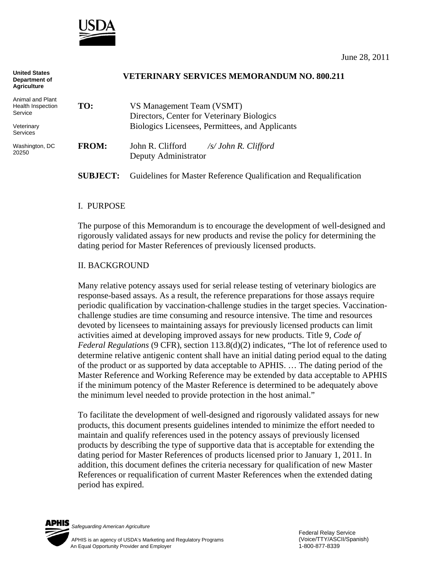

**United States** 

| United States<br>Department of<br><b>Agriculture</b> |                 | <b>VETERINARY SERVICES MEMORANDUM NO. 800.211</b>                       |
|------------------------------------------------------|-----------------|-------------------------------------------------------------------------|
| Animal and Plant<br>Health Inspection<br>Service     | TO:             | VS Management Team (VSMT)<br>Directors, Center for Veterinary Biologics |
| Veterinary<br><b>Services</b>                        |                 | Biologics Licensees, Permittees, and Applicants                         |
| Washington, DC<br>20250                              | <b>FROM:</b>    | John R. Clifford<br>/s/ John R. Clifford<br>Deputy Administrator        |
|                                                      | <b>SUBJECT:</b> | Guidelines for Master Reference Qualification and Requalification       |

#### I. PURPOSE

The purpose of this Memorandum is to encourage the development of well-designed and rigorously validated assays for new products and revise the policy for determining the dating period for Master References of previously licensed products.

#### II. BACKGROUND

Many relative potency assays used for serial release testing of veterinary biologics are response-based assays. As a result, the reference preparations for those assays require periodic qualification by vaccination-challenge studies in the target species. Vaccinationchallenge studies are time consuming and resource intensive. The time and resources devoted by licensees to maintaining assays for previously licensed products can limit activities aimed at developing improved assays for new products. Title 9, *Code of Federal Regulations* (9 CFR), section 113.8(d)(2) indicates, "The lot of reference used to determine relative antigenic content shall have an initial dating period equal to the dating of the product or as supported by data acceptable to APHIS. … The dating period of the Master Reference and Working Reference may be extended by data acceptable to APHIS if the minimum potency of the Master Reference is determined to be adequately above the minimum level needed to provide protection in the host animal."

To facilitate the development of well-designed and rigorously validated assays for new products, this document presents guidelines intended to minimize the effort needed to maintain and qualify references used in the potency assays of previously licensed products by describing the type of supportive data that is acceptable for extending the dating period for Master References of products licensed prior to January 1, 2011. In addition, this document defines the criteria necessary for qualification of new Master References or requalification of current Master References when the extended dating period has expired.



*Safeguarding American Agriculture*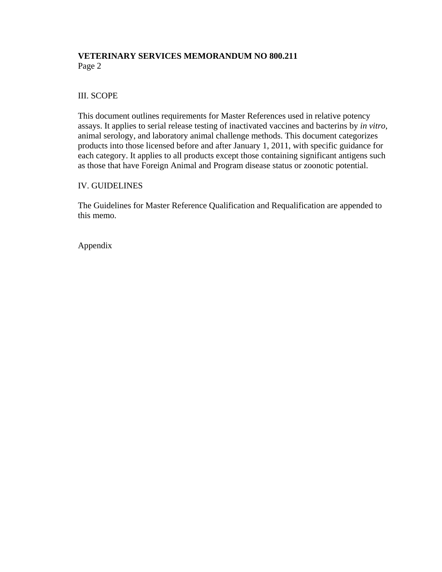# **VETERINARY SERVICES MEMORANDUM NO 800.211**  Page 2

## III. SCOPE

This document outlines requirements for Master References used in relative potency assays. It applies to serial release testing of inactivated vaccines and bacterins by *in vitro*, animal serology, and laboratory animal challenge methods. This document categorizes products into those licensed before and after January 1, 2011, with specific guidance for each category. It applies to all products except those containing significant antigens such as those that have Foreign Animal and Program disease status or zoonotic potential.

### IV. GUIDELINES

The Guidelines for Master Reference Qualification and Requalification are appended to this memo.

Appendix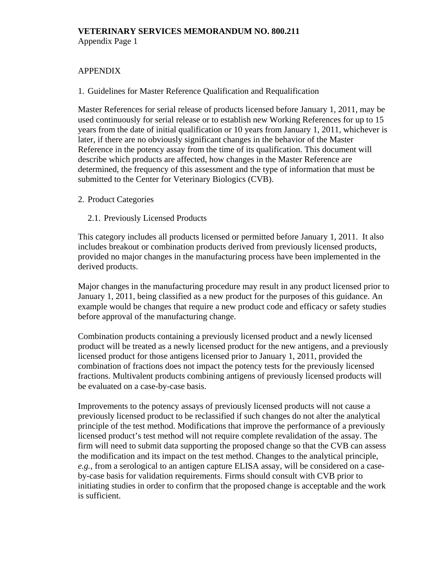Appendix Page 1

# APPENDIX

## 1. Guidelines for Master Reference Qualification and Requalification

Master References for serial release of products licensed before January 1, 2011, may be used continuously for serial release or to establish new Working References for up to 15 years from the date of initial qualification or 10 years from January 1, 2011, whichever is later, if there are no obviously significant changes in the behavior of the Master Reference in the potency assay from the time of its qualification. This document will describe which products are affected, how changes in the Master Reference are determined, the frequency of this assessment and the type of information that must be submitted to the Center for Veterinary Biologics (CVB).

### 2. Product Categories

## 2.1. Previously Licensed Products

This category includes all products licensed or permitted before January 1, 2011. It also includes breakout or combination products derived from previously licensed products, provided no major changes in the manufacturing process have been implemented in the derived products.

Major changes in the manufacturing procedure may result in any product licensed prior to January 1, 2011, being classified as a new product for the purposes of this guidance. An example would be changes that require a new product code and efficacy or safety studies before approval of the manufacturing change.

Combination products containing a previously licensed product and a newly licensed product will be treated as a newly licensed product for the new antigens, and a previously licensed product for those antigens licensed prior to January 1, 2011, provided the combination of fractions does not impact the potency tests for the previously licensed fractions. Multivalent products combining antigens of previously licensed products will be evaluated on a case-by-case basis.

Improvements to the potency assays of previously licensed products will not cause a previously licensed product to be reclassified if such changes do not alter the analytical principle of the test method. Modifications that improve the performance of a previously licensed product's test method will not require complete revalidation of the assay. The firm will need to submit data supporting the proposed change so that the CVB can assess the modification and its impact on the test method. Changes to the analytical principle, *e.g.*, from a serological to an antigen capture ELISA assay, will be considered on a caseby-case basis for validation requirements. Firms should consult with CVB prior to initiating studies in order to confirm that the proposed change is acceptable and the work is sufficient.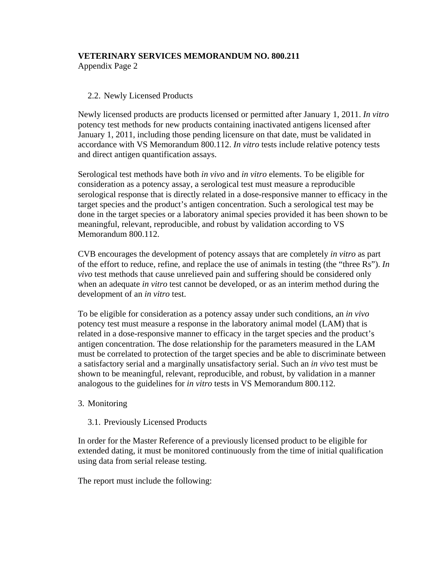Appendix Page 2

# 2.2. Newly Licensed Products

Newly licensed products are products licensed or permitted after January 1, 2011. *In vitro* potency test methods for new products containing inactivated antigens licensed after January 1, 2011, including those pending licensure on that date, must be validated in accordance with VS Memorandum 800.112. *In vitro* tests include relative potency tests and direct antigen quantification assays.

Serological test methods have both *in vivo* and *in vitro* elements. To be eligible for consideration as a potency assay, a serological test must measure a reproducible serological response that is directly related in a dose-responsive manner to efficacy in the target species and the product's antigen concentration. Such a serological test may be done in the target species or a laboratory animal species provided it has been shown to be meaningful, relevant, reproducible, and robust by validation according to VS Memorandum 800.112.

CVB encourages the development of potency assays that are completely *in vitro* as part of the effort to reduce, refine, and replace the use of animals in testing (the "three Rs"). *In vivo* test methods that cause unrelieved pain and suffering should be considered only when an adequate *in vitro* test cannot be developed, or as an interim method during the development of an *in vitro* test.

To be eligible for consideration as a potency assay under such conditions, an *in vivo* potency test must measure a response in the laboratory animal model (LAM) that is related in a dose-responsive manner to efficacy in the target species and the product's antigen concentration. The dose relationship for the parameters measured in the LAM must be correlated to protection of the target species and be able to discriminate between a satisfactory serial and a marginally unsatisfactory serial. Such an *in vivo* test must be shown to be meaningful, relevant, reproducible, and robust, by validation in a manner analogous to the guidelines for *in vitro* tests in VS Memorandum 800.112.

### 3. Monitoring

### 3.1. Previously Licensed Products

In order for the Master Reference of a previously licensed product to be eligible for extended dating, it must be monitored continuously from the time of initial qualification using data from serial release testing.

The report must include the following: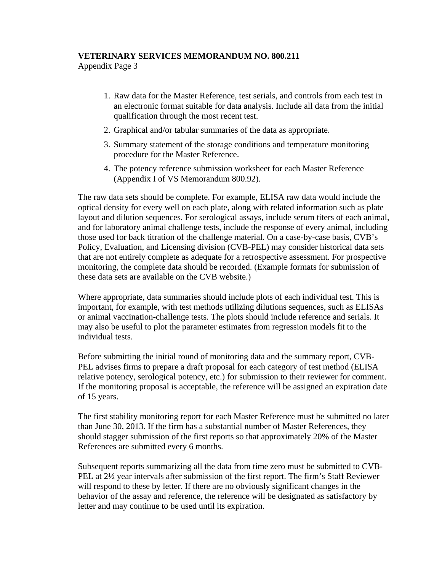Appendix Page 3

- 1. Raw data for the Master Reference, test serials, and controls from each test in an electronic format suitable for data analysis. Include all data from the initial qualification through the most recent test.
- 2. Graphical and/or tabular summaries of the data as appropriate.
- 3. Summary statement of the storage conditions and temperature monitoring procedure for the Master Reference.
- 4. The potency reference submission worksheet for each Master Reference (Appendix I of VS Memorandum 800.92).

The raw data sets should be complete. For example, ELISA raw data would include the optical density for every well on each plate, along with related information such as plate layout and dilution sequences. For serological assays, include serum titers of each animal, and for laboratory animal challenge tests, include the response of every animal, including those used for back titration of the challenge material. On a case-by-case basis, CVB's Policy, Evaluation, and Licensing division (CVB-PEL) may consider historical data sets that are not entirely complete as adequate for a retrospective assessment. For prospective monitoring, the complete data should be recorded. (Example formats for submission of these data sets are available on the CVB website.)

Where appropriate, data summaries should include plots of each individual test. This is important, for example, with test methods utilizing dilutions sequences, such as ELISAs or animal vaccination-challenge tests. The plots should include reference and serials. It may also be useful to plot the parameter estimates from regression models fit to the individual tests.

Before submitting the initial round of monitoring data and the summary report, CVB-PEL advises firms to prepare a draft proposal for each category of test method (ELISA relative potency, serological potency, etc.) for submission to their reviewer for comment. If the monitoring proposal is acceptable, the reference will be assigned an expiration date of 15 years.

The first stability monitoring report for each Master Reference must be submitted no later than June 30, 2013. If the firm has a substantial number of Master References, they should stagger submission of the first reports so that approximately 20% of the Master References are submitted every 6 months.

Subsequent reports summarizing all the data from time zero must be submitted to CVB-PEL at 2½ year intervals after submission of the first report. The firm's Staff Reviewer will respond to these by letter. If there are no obviously significant changes in the behavior of the assay and reference, the reference will be designated as satisfactory by letter and may continue to be used until its expiration.